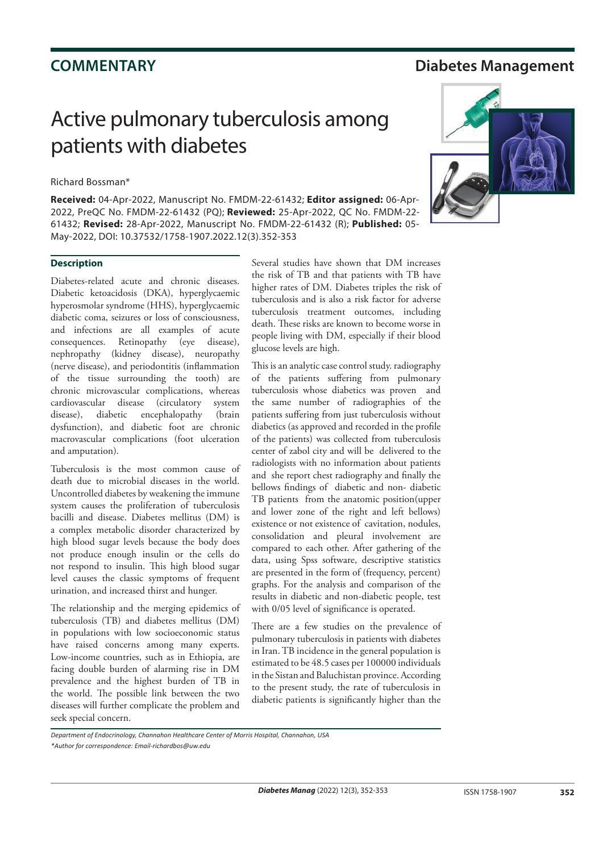## **COMMENTARY Diabetes Management**

# Active pulmonary tuberculosis among patients with diabetes

### Richard Bossman\*

**Received:** 04-Apr-2022, Manuscript No. FMDM-22-61432; **Editor assigned:** 06-Apr-2022, PreQC No. FMDM-22-61432 (PQ); **Reviewed:** 25-Apr-2022, QC No. FMDM-22- 61432; **Revised:** 28-Apr-2022, Manuscript No. FMDM-22-61432 (R); **Published:** 05- May-2022, DOI: 10.37532/1758-1907.2022.12(3).352-353

### **Description**

Diabetes-related acute and chronic diseases. Diabetic ketoacidosis (DKA), hyperglycaemic hyperosmolar syndrome (HHS), hyperglycaemic diabetic coma, seizures or loss of consciousness, and infections are all examples of acute consequences. Retinopathy (eye disease), nephropathy (kidney disease), neuropathy (nerve disease), and periodontitis (inflammation of the tissue surrounding the tooth) are chronic microvascular complications, whereas cardiovascular disease (circulatory system disease), diabetic encephalopathy (brain dysfunction), and diabetic foot are chronic macrovascular complications (foot ulceration and amputation).

Tuberculosis is the most common cause of death due to microbial diseases in the world. Uncontrolled diabetes by weakening the immune system causes the proliferation of tuberculosis bacilli and disease. Diabetes mellitus (DM) is a complex metabolic disorder characterized by high blood sugar levels because the body does not produce enough insulin or the cells do not respond to insulin. This high blood sugar level causes the classic symptoms of frequent urination, and increased thirst and hunger.

The relationship and the merging epidemics of tuberculosis (TB) and diabetes mellitus (DM) in populations with low socioeconomic status have raised concerns among many experts. Low-income countries, such as in Ethiopia, are facing double burden of alarming rise in DM prevalence and the highest burden of TB in the world. The possible link between the two diseases will further complicate the problem and seek special concern.

Several studies have shown that DM increases the risk of TB and that patients with TB have higher rates of DM. Diabetes triples the risk of tuberculosis and is also a risk factor for adverse tuberculosis treatment outcomes, including death. These risks are known to become worse in people living with DM, especially if their blood glucose levels are high.

This is an analytic case control study. radiography of the patients suffering from pulmonary tuberculosis whose diabetics was proven and the same number of radiographies of the patients suffering from just tuberculosis without diabetics (as approved and recorded in the profile of the patients) was collected from tuberculosis center of zabol city and will be delivered to the radiologists with no information about patients and she report chest radiography and finally the bellows findings of diabetic and non- diabetic TB patients from the anatomic position(upper and lower zone of the right and left bellows) existence or not existence of cavitation, nodules, consolidation and pleural involvement are compared to each other. After gathering of the data, using Spss software, descriptive statistics are presented in the form of (frequency, percent) graphs. For the analysis and comparison of the results in diabetic and non-diabetic people, test with 0/05 level of significance is operated.

There are a few studies on the prevalence of pulmonary tuberculosis in patients with diabetes in Iran. TB incidence in the general population is estimated to be 48.5 cases per 100000 individuals in the Sistan and Baluchistan province. According to the present study, the rate of tuberculosis in diabetic patients is significantly higher than the



*Department of Endocrinology, Channahon Healthcare Center of Morris Hospital, Channahon, USA \*Author for correspondence: Email-richardbos@uw.edu*